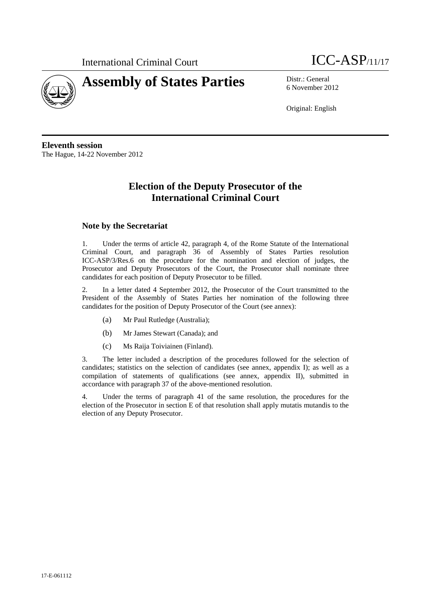



6 November 2012

Original: English

**Eleventh session**  The Hague, 14-22 November 2012

# **Election of the Deputy Prosecutor of the International Criminal Court**

### **Note by the Secretariat**

1. Under the terms of article 42, paragraph 4, of the Rome Statute of the International Criminal Court, and paragraph 36 of Assembly of States Parties resolution ICC-ASP/3/Res.6 on the procedure for the nomination and election of judges, the Prosecutor and Deputy Prosecutors of the Court, the Prosecutor shall nominate three candidates for each position of Deputy Prosecutor to be filled.

2. In a letter dated 4 September 2012, the Prosecutor of the Court transmitted to the President of the Assembly of States Parties her nomination of the following three candidates for the position of Deputy Prosecutor of the Court (see annex):

- (a) Mr Paul Rutledge (Australia);
- (b) Mr James Stewart (Canada); and
- (c) Ms Raija Toiviainen (Finland).

3. The letter included a description of the procedures followed for the selection of candidates; statistics on the selection of candidates (see annex, appendix I); as well as a compilation of statements of qualifications (see annex, appendix II), submitted in accordance with paragraph 37 of the above-mentioned resolution.

4. Under the terms of paragraph 41 of the same resolution, the procedures for the election of the Prosecutor in section E of that resolution shall apply mutatis mutandis to the election of any Deputy Prosecutor.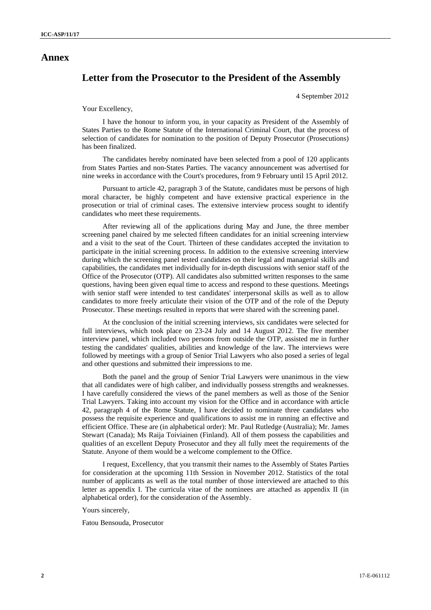### **Annex**

## **Letter from the Prosecutor to the President of the Assembly**

4 September 2012

#### Your Excellency,

I have the honour to inform you, in your capacity as President of the Assembly of States Parties to the Rome Statute of the International Criminal Court, that the process of selection of candidates for nomination to the position of Deputy Prosecutor (Prosecutions) has been finalized.

The candidates hereby nominated have been selected from a pool of 120 applicants from States Parties and non-States Parties. The vacancy announcement was advertised for nine weeks in accordance with the Court's procedures, from 9 February until 15 April 2012.

Pursuant to article 42, paragraph 3 of the Statute, candidates must be persons of high moral character, be highly competent and have extensive practical experience in the prosecution or trial of criminal cases. The extensive interview process sought to identify candidates who meet these requirements.

After reviewing all of the applications during May and June, the three member screening panel chaired by me selected fifteen candidates for an initial screening interview and a visit to the seat of the Court. Thirteen of these candidates accepted the invitation to participate in the initial screening process. In addition to the extensive screening interview during which the screening panel tested candidates on their legal and managerial skills and capabilities, the candidates met individually for in-depth discussions with senior staff of the Office of the Prosecutor (OTP). All candidates also submitted written responses to the same questions, having been given equal time to access and respond to these questions. Meetings with senior staff were intended to test candidates' interpersonal skills as well as to allow candidates to more freely articulate their vision of the OTP and of the role of the Deputy Prosecutor. These meetings resulted in reports that were shared with the screening panel.

At the conclusion of the initial screening interviews, six candidates were selected for full interviews, which took place on 23-24 July and 14 August 2012. The five member interview panel, which included two persons from outside the OTP, assisted me in further testing the candidates' qualities, abilities and knowledge of the law. The interviews were followed by meetings with a group of Senior Trial Lawyers who also posed a series of legal and other questions and submitted their impressions to me.

Both the panel and the group of Senior Trial Lawyers were unanimous in the view that all candidates were of high caliber, and individually possess strengths and weaknesses. I have carefully considered the views of the panel members as well as those of the Senior Trial Lawyers. Taking into account my vision for the Office and in accordance with article 42, paragraph 4 of the Rome Statute, I have decided to nominate three candidates who possess the requisite experience and qualifications to assist me in running an effective and efficient Office. These are (in alphabetical order): Mr. Paul Rutledge (Australia); Mr. James Stewart (Canada); Ms Raija Toiviainen (Finland). All of them possess the capabilities and qualities of an excellent Deputy Prosecutor and they all fully meet the requirements of the Statute. Anyone of them would be a welcome complement to the Office.

I request, Excellency, that you transmit their names to the Assembly of States Parties for consideration at the upcoming 11th Session in November 2012. Statistics of the total number of applicants as well as the total number of those interviewed are attached to this letter as appendix I. The curricula vitae of the nominees are attached as appendix II (in alphabetical order), for the consideration of the Assembly.

Yours sincerely,

Fatou Bensouda, Prosecutor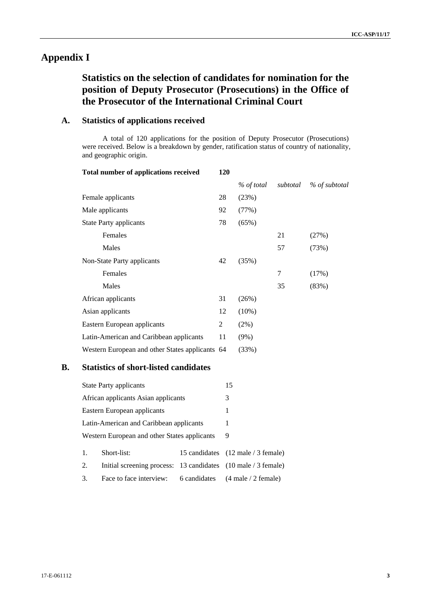# **Appendix I**

# **Statistics on the selection of candidates for nomination for the position of Deputy Prosecutor (Prosecutions) in the Office of the Prosecutor of the International Criminal Court**

### **A. Statistics of applications received**

A total of 120 applications for the position of Deputy Prosecutor (Prosecutions) were received. Below is a breakdown by gender, ratification status of country of nationality, and geographic origin.

| <b>Total number of applications received</b>    | 120 |            |          |               |
|-------------------------------------------------|-----|------------|----------|---------------|
|                                                 |     | % of total | subtotal | % of subtotal |
| Female applicants                               | 28  | (23%)      |          |               |
| Male applicants                                 | 92  | (77%)      |          |               |
| <b>State Party applicants</b>                   | 78  | (65%)      |          |               |
| Females                                         |     |            | 21       | (27%)         |
| Males                                           |     |            | 57       | (73%)         |
| Non-State Party applicants                      | 42  | (35%)      |          |               |
| Females                                         |     |            | 7        | (17%)         |
| Males                                           |     |            | 35       | (83%)         |
| African applicants                              | 31  | (26%)      |          |               |
| Asian applicants                                | 12  | $(10\%)$   |          |               |
| Eastern European applicants                     | 2   | $(2\%)$    |          |               |
| Latin-American and Caribbean applicants         | 11  | $(9\%)$    |          |               |
| Western European and other States applicants 64 |     | (33%)      |          |               |

## **B. Statistics of short-listed candidates**

|                                              | <b>State Party applicants</b>                                 | 15 |                                                    |
|----------------------------------------------|---------------------------------------------------------------|----|----------------------------------------------------|
| African applicants Asian applicants          |                                                               | 3  |                                                    |
| Eastern European applicants                  |                                                               |    | 1                                                  |
| Latin-American and Caribbean applicants      |                                                               | 1  |                                                    |
| Western European and other States applicants |                                                               | 9  |                                                    |
| 1.                                           | Short-list:                                                   |    | 15 candidates (12 male / 3 female)                 |
| 2.                                           | Initial screening process: 13 candidates (10 male / 3 female) |    |                                                    |
| 3.                                           | Face to face interview:                                       |    | 6 candidates $(4 \text{ male} / 2 \text{ female})$ |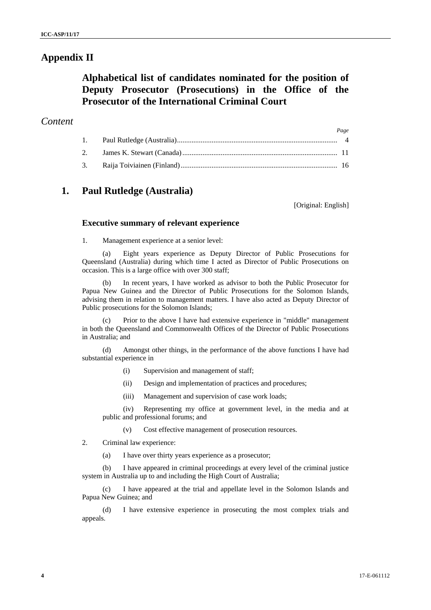## **Appendix II**

# **Alphabetical list of candidates nominated for the position of Deputy Prosecutor (Prosecutions) in the Office of the Prosecutor of the International Criminal Court**

### *Content*

|  | Page |
|--|------|
|  |      |
|  |      |
|  |      |

## **1. Paul Rutledge (Australia)**

[Original: English]

### **Executive summary of relevant experience**

1. Management experience at a senior level:

(a) Eight years experience as Deputy Director of Public Prosecutions for Queensland (Australia) during which time I acted as Director of Public Prosecutions on occasion. This is a large office with over 300 staff;

(b) In recent years, I have worked as advisor to both the Public Prosecutor for Papua New Guinea and the Director of Public Prosecutions for the Solomon Islands, advising them in relation to management matters. I have also acted as Deputy Director of Public prosecutions for the Solomon Islands;

(c) Prior to the above I have had extensive experience in "middle" management in both the Queensland and Commonwealth Offices of the Director of Public Prosecutions in Australia; and

(d) Amongst other things, in the performance of the above functions I have had substantial experience in

- (i) Supervision and management of staff;
- (ii) Design and implementation of practices and procedures;
- (iii) Management and supervision of case work loads;

(iv) Representing my office at government level, in the media and at public and professional forums; and

- (v) Cost effective management of prosecution resources.
- 2. Criminal law experience:
	- (a) I have over thirty years experience as a prosecutor;

(b) I have appeared in criminal proceedings at every level of the criminal justice system in Australia up to and including the High Court of Australia;

(c) I have appeared at the trial and appellate level in the Solomon Islands and Papua New Guinea; and

(d) I have extensive experience in prosecuting the most complex trials and appeals.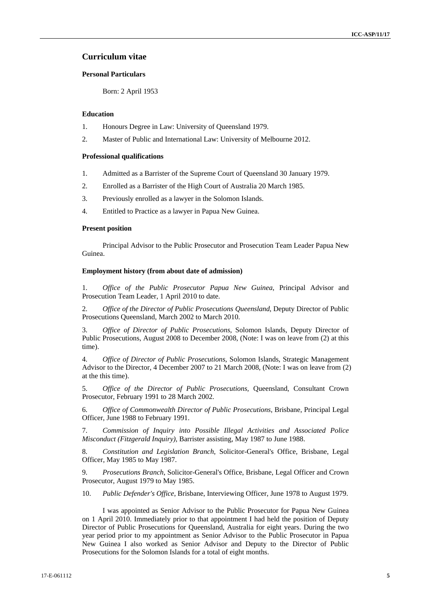### **Curriculum vitae**

### **Personal Particulars**

Born: 2 April 1953

#### **Education**

- 1. Honours Degree in Law: University of Queensland 1979.
- 2. Master of Public and International Law: University of Melbourne 2012.

#### **Professional qualifications**

- 1. Admitted as a Barrister of the Supreme Court of Queensland 30 January 1979.
- 2. Enrolled as a Barrister of the High Court of Australia 20 March 1985.
- 3. Previously enrolled as a lawyer in the Solomon Islands.
- 4. Entitled to Practice as a lawyer in Papua New Guinea.

#### **Present position**

Principal Advisor to the Public Prosecutor and Prosecution Team Leader Papua New Guinea.

### **Employment history (from about date of admission)**

1. *Office of the Public Prosecutor Papua New Guinea*, Principal Advisor and Prosecution Team Leader, 1 April 2010 to date.

2. *Office of the Director of Public Prosecutions Queensland*, Deputy Director of Public Prosecutions Queensland, March 2002 to March 2010.

3. *Office of Director of Public Prosecutions*, Solomon Islands, Deputy Director of Public Prosecutions, August 2008 to December 2008, (Note: I was on leave from (2) at this time).

4. *Office of Director of Public Prosecutions*, Solomon Islands, Strategic Management Advisor to the Director, 4 December 2007 to 21 March 2008, (Note: I was on leave from (2) at the this time).

5. *Office of the Director of Public Prosecutions,* Queensland, Consultant Crown Prosecutor, February 1991 to 28 March 2002.

6. *Office of Commonwealth Director of Public Prosecutions*, Brisbane, Principal Legal Officer, June 1988 to February 1991.

7. *Commission of Inquiry into Possible Illegal Activities and Associated Police Misconduct (Fitzgerald Inquiry)*, Barrister assisting, May 1987 to June 1988.

8. *Constitution and Legislation Branch*, Solicitor-General's Office, Brisbane, Legal Officer, May 1985 to May 1987.

9. *Prosecutions Branch*, Solicitor-General's Office, Brisbane, Legal Officer and Crown Prosecutor, August 1979 to May 1985.

10. *Public Defender's Office*, Brisbane, Interviewing Officer, June 1978 to August 1979.

I was appointed as Senior Advisor to the Public Prosecutor for Papua New Guinea on 1 April 2010. Immediately prior to that appointment I had held the position of Deputy Director of Public Prosecutions for Queensland, Australia for eight years. During the two year period prior to my appointment as Senior Advisor to the Public Prosecutor in Papua New Guinea I also worked as Senior Advisor and Deputy to the Director of Public Prosecutions for the Solomon Islands for a total of eight months.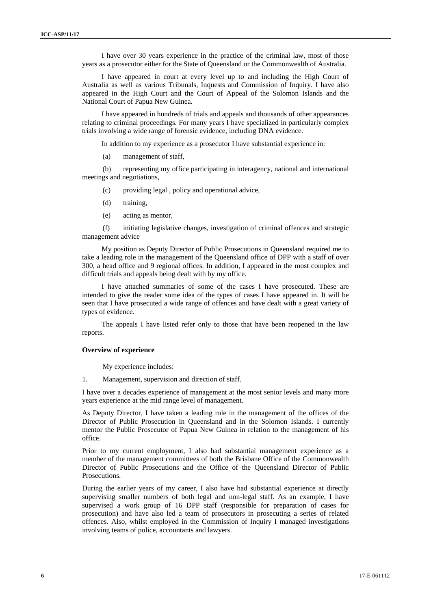I have over 30 years experience in the practice of the criminal law, most of those years as a prosecutor either for the State of Queensland or the Commonwealth of Australia.

I have appeared in court at every level up to and including the High Court of Australia as well as various Tribunals, Inquests and Commission of Inquiry. I have also appeared in the High Court and the Court of Appeal of the Solomon Islands and the National Court of Papua New Guinea.

I have appeared in hundreds of trials and appeals and thousands of other appearances relating to criminal proceedings. For many years I have specialized in particularly complex trials involving a wide range of forensic evidence, including DNA evidence.

In addition to my experience as a prosecutor I have substantial experience in:

(a) management of staff,

(b) representing my office participating in interagency, national and international meetings and negotiations,

- (c) providing legal , policy and operational advice,
- (d) training,
- (e) acting as mentor,

(f) initiating legislative changes, investigation of criminal offences and strategic management advice

My position as Deputy Director of Public Prosecutions in Queensland required me to take a leading role in the management of the Queensland office of DPP with a staff of over 300, a head office and 9 regional offices. In addition, I appeared in the most complex and difficult trials and appeals being dealt with by my office.

I have attached summaries of some of the cases I have prosecuted. These are intended to give the reader some idea of the types of cases I have appeared in. It will be seen that I have prosecuted a wide range of offences and have dealt with a great variety of types of evidence.

The appeals I have listed refer only to those that have been reopened in the law reports.

#### **Overview of experience**

My experience includes:

1. Management, supervision and direction of staff.

I have over a decades experience of management at the most senior levels and many more years experience at the mid range level of management.

As Deputy Director, I have taken a leading role in the management of the offices of the Director of Public Prosecution in Queensland and in the Solomon Islands. I currently mentor the Public Prosecutor of Papua New Guinea in relation to the management of his office.

Prior to my current employment, I also had substantial management experience as a member of the management committees of both the Brisbane Office of the Commonwealth Director of Public Prosecutions and the Office of the Queensland Director of Public Prosecutions.

During the earlier years of my career, I also have had substantial experience at directly supervising smaller numbers of both legal and non-legal staff. As an example, I have supervised a work group of 16 DPP staff (responsible for preparation of cases for prosecution) and have also led a team of prosecutors in prosecuting a series of related offences. Also, whilst employed in the Commission of Inquiry I managed investigations involving teams of police, accountants and lawyers.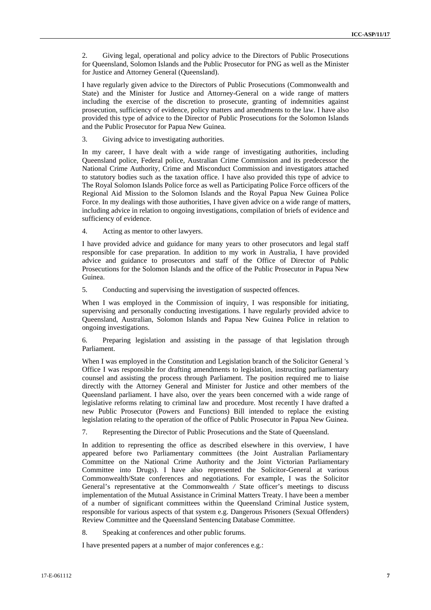2. Giving legal, operational and policy advice to the Directors of Public Prosecutions for Queensland, Solomon Islands and the Public Prosecutor for PNG as well as the Minister for Justice and Attorney General (Queensland).

I have regularly given advice to the Directors of Public Prosecutions (Commonwealth and State) and the Minister for Justice and Attorney-General on a wide range of matters including the exercise of the discretion to prosecute, granting of indemnities against prosecution, sufficiency of evidence, policy matters and amendments to the law. I have also provided this type of advice to the Director of Public Prosecutions for the Solomon Islands and the Public Prosecutor for Papua New Guinea.

3. Giving advice to investigating authorities.

In my career, I have dealt with a wide range of investigating authorities, including Queensland police, Federal police, Australian Crime Commission and its predecessor the National Crime Authority, Crime and Misconduct Commission and investigators attached to statutory bodies such as the taxation office. I have also provided this type of advice to The Royal Solomon Islands Police force as well as Participating Police Force officers of the Regional Aid Mission to the Solomon Islands and the Royal Papua New Guinea Police Force. In my dealings with those authorities, I have given advice on a wide range of matters, including advice in relation to ongoing investigations, compilation of briefs of evidence and sufficiency of evidence.

4. Acting as mentor to other lawyers.

I have provided advice and guidance for many years to other prosecutors and legal staff responsible for case preparation. In addition to my work in Australia, I have provided advice and guidance to prosecutors and staff of the Office of Director of Public Prosecutions for the Solomon Islands and the office of the Public Prosecutor in Papua New Guinea.

5. Conducting and supervising the investigation of suspected offences.

When I was employed in the Commission of inquiry, I was responsible for initiating, supervising and personally conducting investigations. I have regularly provided advice to Queensland, Australian, Solomon Islands and Papua New Guinea Police in relation to ongoing investigations.

6. Preparing legislation and assisting in the passage of that legislation through Parliament.

When I was employed in the Constitution and Legislation branch of the Solicitor General 's Office I was responsible for drafting amendments to legislation, instructing parliamentary counsel and assisting the process through Parliament. The position required me to liaise directly with the Attorney General and Minister for Justice and other members of the Queensland parliament. I have also, over the years been concerned with a wide range of legislative reforms relating to criminal law and procedure. Most recently I have drafted a new Public Prosecutor (Powers and Functions) Bill intended to replace the existing legislation relating to the operation of the office of Public Prosecutor in Papua New Guinea.

7. Representing the Director of Public Prosecutions and the State of Queensland.

In addition to representing the office as described elsewhere in this overview, I have appeared before two Parliamentary committees (the Joint Australian Parliamentary Committee on the National Crime Authority and the Joint Victorian Parliamentary Committee into Drugs). I have also represented the Solicitor-General at various Commonwealth/State conferences and negotiations. For example, I was the Solicitor General's representative at the Commonwealth */* State officer's meetings to discuss implementation of the Mutual Assistance in Criminal Matters Treaty. I have been a member of a number of significant committees within the Queensland Criminal Justice system, responsible for various aspects of that system e.g. Dangerous Prisoners (Sexual Offenders) Review Committee and the Queensland Sentencing Database Committee.

8. Speaking at conferences and other public forums.

I have presented papers at a number of major conferences e.g.: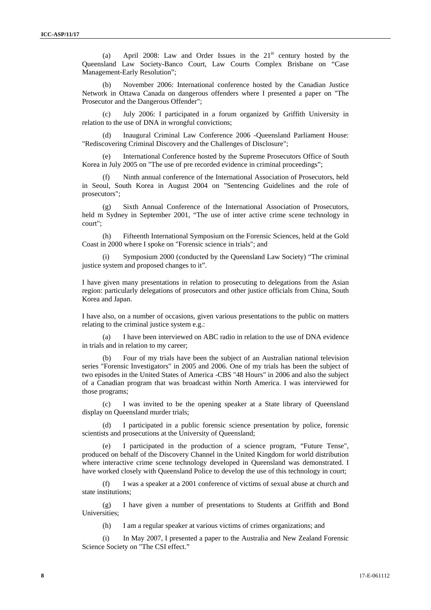(a) April 2008: Law and Order Issues in the  $21<sup>st</sup>$  century hosted by the Queensland Law Society-Banco Court, Law Courts Complex Brisbane on "Case Management-Early Resolution";

November 2006: International conference hosted by the Canadian Justice Network in Ottawa Canada on dangerous offenders where I presented a paper on "The Prosecutor and the Dangerous Offender";

(c) July 2006: I participated in a forum organized by Griffith University in relation to the use of DNA in wrongful convictions;

(d) Inaugural Criminal Law Conference 2006 -Queensland Parliament House: "Rediscovering Criminal Discovery and the Challenges of Disclosure";

International Conference hosted by the Supreme Prosecutors Office of South Korea in July 2005 on "The use of pre recorded evidence in criminal proceedings";

(f) Ninth annual conference of the International Association of Prosecutors, held in Seoul, South Korea in August 2004 on "Sentencing Guidelines and the role of prosecutors";

(g) Sixth Annual Conference of the International Association of Prosecutors, held m Sydney in September 2001, "The use of inter active crime scene technology in court";

(h) Fifteenth International Symposium on the Forensic Sciences, held at the Gold Coast in 2000 where I spoke on "Forensic science in trials"; and

Symposium 2000 (conducted by the Queensland Law Society) "The criminal justice system and proposed changes to it".

I have given many presentations in relation to prosecuting to delegations from the Asian region: particularly delegations of prosecutors and other justice officials from China, South Korea and Japan.

I have also, on a number of occasions, given various presentations to the public on matters relating to the criminal justice system e.g.:

I have been interviewed on ABC radio in relation to the use of DNA evidence in trials and in relation to my career;

(b) Four of my trials have been the subject of an Australian national television series "Forensic Investigators" in 2005 and 2006. One of my trials has been the subject of two episodes in the United States of America -CBS "48 Hours" in 2006 and also the subject of a Canadian program that was broadcast within North America. I was interviewed for those programs;

(c) I was invited to be the opening speaker at a State library of Queensland display on Queensland murder trials;

I participated in a public forensic science presentation by police, forensic scientists and prosecutions at the University of Queensland:

(e) I participated in the production of a science program, "Future Tense", produced on behalf of the Discovery Channel in the United Kingdom for world distribution where interactive crime scene technology developed in Queensland was demonstrated. I have worked closely with Queensland Police to develop the use of this technology in court;

(f) I was a speaker at a 2001 conference of victims of sexual abuse at church and state institutions;

(g) I have given a number of presentations to Students at Griffith and Bond Universities;

(h) I am a regular speaker at various victims of crimes organizations; and

(i) In May 2007, I presented a paper to the Australia and New Zealand Forensic Science Society on "The CSI effect."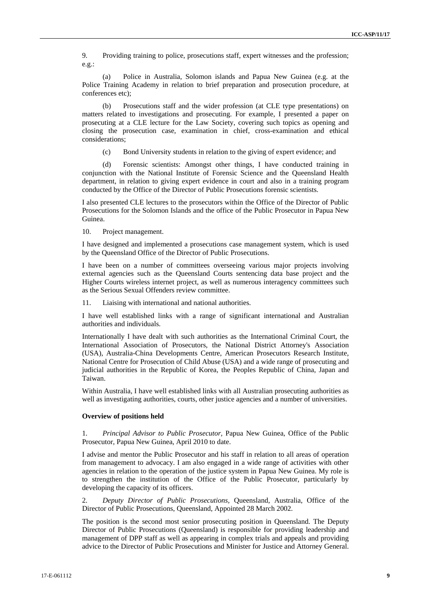9. Providing training to police, prosecutions staff, expert witnesses and the profession; e.g.:

(a) Police in Australia, Solomon islands and Papua New Guinea (e.g. at the Police Training Academy in relation to brief preparation and prosecution procedure, at conferences etc);

(b) Prosecutions staff and the wider profession (at CLE type presentations) on matters related to investigations and prosecuting. For example, I presented a paper on prosecuting at a CLE lecture for the Law Society, covering such topics as opening and closing the prosecution case, examination in chief, cross-examination and ethical considerations;

(c) Bond University students in relation to the giving of expert evidence; and

(d) Forensic scientists: Amongst other things, I have conducted training in conjunction with the National Institute of Forensic Science and the Queensland Health department, in relation to giving expert evidence in court and also in a training program conducted by the Office of the Director of Public Prosecutions forensic scientists.

I also presented CLE lectures to the prosecutors within the Office of the Director of Public Prosecutions for the Solomon Islands and the office of the Public Prosecutor in Papua New Guinea.

10. Project management.

I have designed and implemented a prosecutions case management system, which is used by the Queensland Office of the Director of Public Prosecutions.

I have been on a number of committees overseeing various major projects involving external agencies such as the Queensland Courts sentencing data base project and the Higher Courts wireless internet project, as well as numerous interagency committees such as the Serious Sexual Offenders review committee.

11. Liaising with international and national authorities.

I have well established links with a range of significant international and Australian authorities and individuals.

Internationally I have dealt with such authorities as the International Criminal Court, the International Association of Prosecutors, the National District Attorney's Association (USA), Australia-China Developments Centre, American Prosecutors Research Institute, National Centre for Prosecution of Child Abuse (USA) and a wide range of prosecuting and judicial authorities in the Republic of Korea, the Peoples Republic of China, Japan and Taiwan.

Within Australia, I have well established links with all Australian prosecuting authorities as well as investigating authorities, courts, other justice agencies and a number of universities.

#### **Overview of positions held**

1. *Principal Advisor to Public Prosecutor,* Papua New Guinea, Office of the Public Prosecutor, Papua New Guinea, April 2010 to date.

I advise and mentor the Public Prosecutor and his staff in relation to all areas of operation from management to advocacy. I am also engaged in a wide range of activities with other agencies in relation to the operation of the justice system in Papua New Guinea. My role is to strengthen the institution of the Office of the Public Prosecutor, particularly by developing the capacity of its officers.

2. *Deputy Director of Public Prosecutions,* Queensland, Australia, Office of the Director of Public Prosecutions, Queensland, Appointed 28 March 2002.

The position is the second most senior prosecuting position in Queensland. The Deputy Director of Public Prosecutions (Queensland) is responsible for providing leadership and management of DPP staff as well as appearing in complex trials and appeals and providing advice to the Director of Public Prosecutions and Minister for Justice and Attorney General.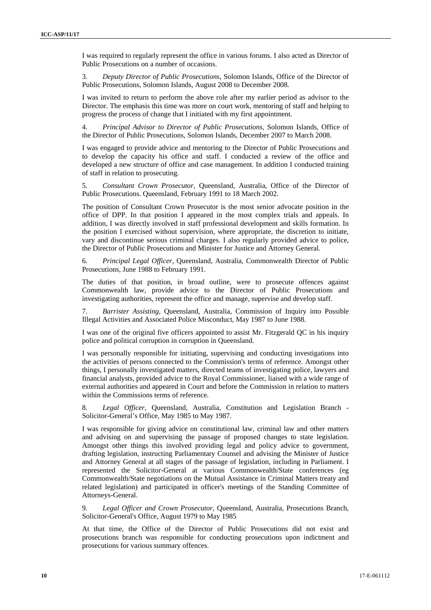I was required to regularly represent the office in various forums. I also acted as Director of Public Prosecutions on a number of occasions.

3. *Deputy Director of Public Prosecutions,* Solomon Islands, Office of the Director of Public Prosecutions, Solomon Islands, August 2008 to December 2008.

I was invited to return to perform the above role after my earlier period as advisor to the Director. The emphasis this time was more on court work, mentoring of staff and helping to progress the process of change that I initiated with my first appointment.

4. *Principal Advisor to Director of Public Prosecutions,* Solomon Islands, Office of the Director of Public Prosecutions, Solomon Islands, December 2007 to March 2008.

I was engaged to provide advice and mentoring to the Director of Public Prosecutions and to develop the capacity his office and staff. I conducted a review of the office and developed a new structure of office and case management. In addition I conducted training of staff in relation to prosecuting.

5. *Consultant Crown Prosecutor,* Queensland, Australia, Office of the Director of Public Prosecutions. Queensland, February 1991 to 18 March 2002.

The position of Consultant Crown Prosecutor is the most senior advocate position in the office of DPP. In that position I appeared in the most complex trials and appeals. In addition, I was directly involved in staff professional development and skills formation. In the position I exercised without supervision, where appropriate, the discretion to initiate, vary and discontinue serious criminal charges. I also regularly provided advice to police, the Director of Public Prosecutions and Minister for Justice and Attorney General.

6. *Principal Legal Officer,* Queensland, Australia, Commonwealth Director of Public Prosecutions, June 1988 to February 1991.

The duties of that position, in broad outline, were to prosecute offences against Commonwealth law, provide advice to the Director of Public Prosecutions and investigating authorities, represent the office and manage, supervise and develop staff.

7. *Barrister Assisting,* Queensland, Australia, Commission of Inquiry into Possible Illegal Activities and Associated Police Misconduct, May 1987 to June 1988.

I was one of the original five officers appointed to assist Mr. Fitzgerald QC in his inquiry police and political corruption in corruption in Queensland.

I was personally responsible for initiating, supervising and conducting investigations into the activities of persons connected to the Commission's terms of reference. Amongst other things, I personally investigated matters, directed teams of investigating police, lawyers and financial analysts, provided advice to the Royal Commissioner, liaised with a wide range of external authorities and appeared in Court and before the Commission in relation to matters within the Commissions terms of reference.

8. *Legal Officer,* Queensland, Australia, Constitution and Legislation Branch - Solicitor-General's Office, May 1985 to May 1987.

I was responsible for giving advice on constitutional law, criminal law and other matters and advising on and supervising the passage of proposed changes to state legislation. Amongst other things this involved providing legal and policy advice to government, drafting legislation, instructing Parliamentary Counsel and advising the Minister of Justice and Attorney General at all stages of the passage of legislation, including in Parliament. I represented the Solicitor-General at various Commonwealth/State conferences (eg Commonwealth/State negotiations on the Mutual Assistance in Criminal Matters treaty and related legislation) and participated in officer's meetings of the Standing Committee of Attorneys-General.

9. *Legal Officer and Crown Prosecutor,* Queensland, Australia, Prosecutions Branch, Solicitor-General's Office, August 1979 to May 1985

At that time, the Office of the Director of Public Prosecutions did not exist and prosecutions branch was responsible for conducting prosecutions upon indictment and prosecutions for various summary offences.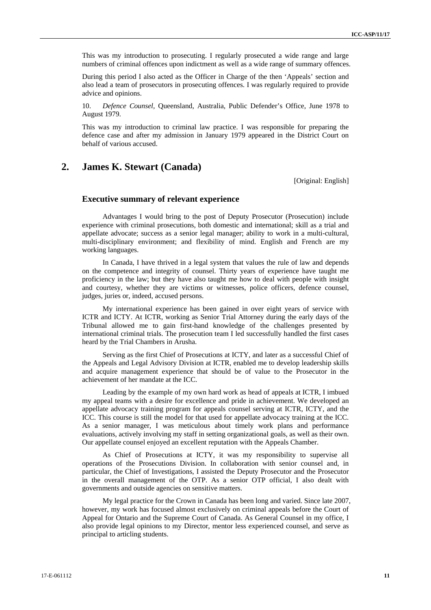This was my introduction to prosecuting. I regularly prosecuted a wide range and large numbers of criminal offences upon indictment as well as a wide range of summary offences.

During this period I also acted as the Officer in Charge of the then 'Appeals' section and also lead a team of prosecutors in prosecuting offences. I was regularly required to provide advice and opinions.

10. *Defence Counsel,* Queensland, Australia, Public Defender's Office, June 1978 to August 1979.

This was my introduction to criminal law practice. I was responsible for preparing the defence case and after my admission in January 1979 appeared in the District Court on behalf of various accused.

## **2. James K. Stewart (Canada)**

[Original: English]

### **Executive summary of relevant experience**

Advantages I would bring to the post of Deputy Prosecutor (Prosecution) include experience with criminal prosecutions, both domestic and international; skill as a trial and appellate advocate; success as a senior legal manager; ability to work in a multi-cultural, multi-disciplinary environment; and flexibility of mind. English and French are my working languages.

In Canada, I have thrived in a legal system that values the rule of law and depends on the competence and integrity of counsel. Thirty years of experience have taught me proficiency in the law; but they have also taught me how to deal with people with insight and courtesy, whether they are victims or witnesses, police officers, defence counsel, judges, juries or, indeed, accused persons.

My international experience has been gained in over eight years of service with ICTR and ICTY. At ICTR, working as Senior Trial Attorney during the early days of the Tribunal allowed me to gain first-hand knowledge of the challenges presented by international criminal trials. The prosecution team I led successfully handled the first cases heard by the Trial Chambers in Arusha.

Serving as the first Chief of Prosecutions at ICTY, and later as a successful Chief of the Appeals and Legal Advisory Division at ICTR, enabled me to develop leadership skills and acquire management experience that should be of value to the Prosecutor in the achievement of her mandate at the ICC.

Leading by the example of my own hard work as head of appeals at ICTR, I imbued my appeal teams with a desire for excellence and pride in achievement. We developed an appellate advocacy training program for appeals counsel serving at ICTR, ICTY, and the ICC. This course is still the model for that used for appellate advocacy training at the ICC. As a senior manager, I was meticulous about timely work plans and performance evaluations, actively involving my staff in setting organizational goals, as well as their own. Our appellate counsel enjoyed an excellent reputation with the Appeals Chamber.

As Chief of Prosecutions at ICTY, it was my responsibility to supervise all operations of the Prosecutions Division. In collaboration with senior counsel and, in particular, the Chief of Investigations, I assisted the Deputy Prosecutor and the Prosecutor in the overall management of the OTP. As a senior OTP official, I also dealt with governments and outside agencies on sensitive matters.

My legal practice for the Crown in Canada has been long and varied. Since late 2007, however, my work has focused almost exclusively on criminal appeals before the Court of Appeal for Ontario and the Supreme Court of Canada. As General Counsel in my office, I also provide legal opinions to my Director, mentor less experienced counsel, and serve as principal to articling students.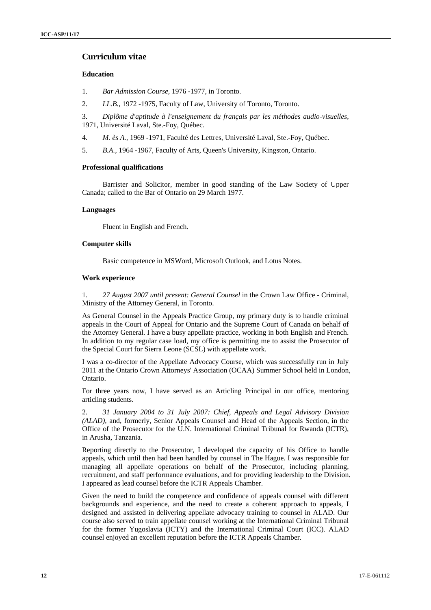### **Curriculum vitae**

### **Education**

- 1. *Bar Admission Course,* 1976 -1977, in Toronto.
- 2. *LL.B.,* 1972 -1975, Faculty of Law, University of Toronto, Toronto.

3. *Diplôme d'aptitude à l'enseignement du français par les méthodes audio-visuelles,* 1971, Université Laval, Ste.-Foy, Québec.

- 4. *M. ès A.,* 1969 -1971, Faculté des Lettres, Université Laval, Ste.-Foy, Québec.
- 5. *B.A.,* 1964 -1967, Faculty of Arts, Queen's University, Kingston, Ontario.

#### **Professional qualifications**

Barrister and Solicitor, member in good standing of the Law Society of Upper Canada; called to the Bar of Ontario on 29 March 1977.

### **Languages**

Fluent in English and French.

### **Computer skills**

Basic competence in MSWord, Microsoft Outlook, and Lotus Notes.

#### **Work experience**

1. *27 August 2007 until present: General Counsel* in the Crown Law Office - Criminal, Ministry of the Attorney General, in Toronto.

As General Counsel in the Appeals Practice Group, my primary duty is to handle criminal appeals in the Court of Appeal for Ontario and the Supreme Court of Canada on behalf of the Attorney General. I have a busy appellate practice, working in both English and French. In addition to my regular case load, my office is permitting me to assist the Prosecutor of the Special Court for Sierra Leone (SCSL) with appellate work.

I was a co-director of the Appellate Advocacy Course, which was successfully run in July 2011 at the Ontario Crown Attorneys' Association (OCAA) Summer School held in London, Ontario.

For three years now, I have served as an Articling Principal in our office, mentoring articling students.

2. *31 January 2004 to 31 July 2007: Chief, Appeals and Legal Advisory Division (ALAD)*, and, formerly, Senior Appeals Counsel and Head of the Appeals Section, in the Office of the Prosecutor for the U.N. International Criminal Tribunal for Rwanda (ICTR), in Arusha, Tanzania.

Reporting directly to the Prosecutor, I developed the capacity of his Office to handle appeals, which until then had been handled by counsel in The Hague. I was responsible for managing all appellate operations on behalf of the Prosecutor, including planning, recruitment, and staff performance evaluations, and for providing leadership to the Division. I appeared as lead counsel before the ICTR Appeals Chamber.

Given the need to build the competence and confidence of appeals counsel with different backgrounds and experience, and the need to create a coherent approach to appeals, I designed and assisted in delivering appellate advocacy training to counsel in ALAD. Our course also served to train appellate counsel working at the International Criminal Tribunal for the former Yugoslavia (ICTY) and the International Criminal Court (ICC). ALAD counsel enjoyed an excellent reputation before the ICTR Appeals Chamber.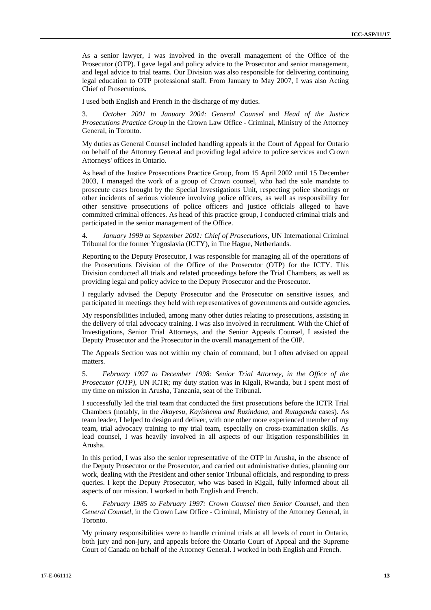As a senior lawyer, I was involved in the overall management of the Office of the Prosecutor (OTP). I gave legal and policy advice to the Prosecutor and senior management, and legal advice to trial teams. Our Division was also responsible for delivering continuing legal education to OTP professional staff. From January to May 2007, I was also Acting Chief of Prosecutions.

I used both English and French in the discharge of my duties.

3. *October 2001 to January 2004: General Counsel* and *Head of the Justice Prosecutions Practice Group* in the Crown Law Office - Criminal, Ministry of the Attorney General, in Toronto.

My duties as General Counsel included handling appeals in the Court of Appeal for Ontario on behalf of the Attorney General and providing legal advice to police services and Crown Attorneys' offices in Ontario.

As head of the Justice Prosecutions Practice Group, from 15 April 2002 until 15 December 2003, I managed the work of a group of Crown counsel, who had the sole mandate to prosecute cases brought by the Special Investigations Unit, respecting police shootings or other incidents of serious violence involving police officers, as well as responsibility for other sensitive prosecutions of police officers and justice officials alleged to have committed criminal offences. As head of this practice group, I conducted criminal trials and participated in the senior management of the Office.

4. *January 1999 to September 2001: Chief of Prosecutions*, UN International Criminal Tribunal for the former Yugoslavia (ICTY), in The Hague, Netherlands.

Reporting to the Deputy Prosecutor, I was responsible for managing all of the operations of the Prosecutions Division of the Office of the Prosecutor (OTP) for the ICTY. This Division conducted all trials and related proceedings before the Trial Chambers, as well as providing legal and policy advice to the Deputy Prosecutor and the Prosecutor.

I regularly advised the Deputy Prosecutor and the Prosecutor on sensitive issues, and participated in meetings they held with representatives of governments and outside agencies.

My responsibilities included, among many other duties relating to prosecutions, assisting in the delivery of trial advocacy training. I was also involved in recruitment. With the Chief of Investigations, Senior Trial Attorneys, and the Senior Appeals Counsel, I assisted the Deputy Prosecutor and the Prosecutor in the overall management of the OIP.

The Appeals Section was not within my chain of command, but I often advised on appeal matters.

5. *February 1997 to December 1998: Senior Trial Attorney, in the Office of the Prosecutor (OTP),* UN ICTR; my duty station was in Kigali, Rwanda, but I spent most of my time on mission in Arusha, Tanzania, seat of the Tribunal.

I successfully led the trial team that conducted the first prosecutions before the ICTR Trial Chambers (notably, in the *Akayesu, Kayishema and Ruzindana,* and *Rutaganda* cases). As team leader, I helped to design and deliver, with one other more experienced member of my team, trial advocacy training to my trial team, especially on cross-examination skills. As lead counsel, I was heavily involved in all aspects of our litigation responsibilities in Arusha.

In this period, I was also the senior representative of the OTP in Arusha, in the absence of the Deputy Prosecutor or the Prosecutor, and carried out administrative duties, planning our work, dealing with the President and other senior Tribunal officials, and responding to press queries. I kept the Deputy Prosecutor, who was based in Kigali, fully informed about all aspects of our mission. I worked in both English and French.

6. *February 1985 to February 1997: Crown Counsel then Senior Counsel,* and then *General Counsel*, in the Crown Law Office - Criminal, Ministry of the Attorney General, in Toronto.

My primary responsibilities were to handle criminal trials at all levels of court in Ontario, both jury and non-jury, and appeals before the Ontario Court of Appeal and the Supreme Court of Canada on behalf of the Attorney General. I worked in both English and French.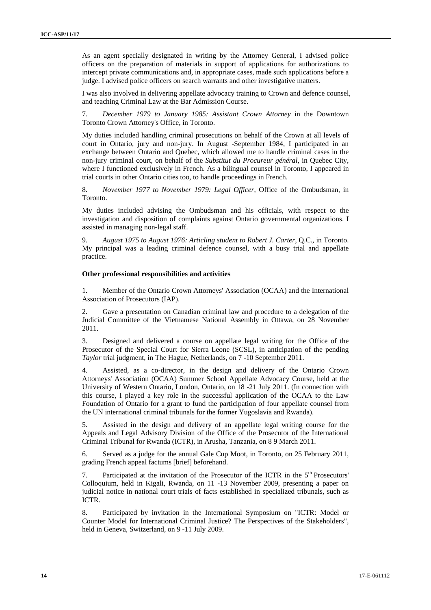As an agent specially designated in writing by the Attorney General, I advised police officers on the preparation of materials in support of applications for authorizations to intercept private communications and, in appropriate cases, made such applications before a judge. I advised police officers on search warrants and other investigative matters.

I was also involved in delivering appellate advocacy training to Crown and defence counsel, and teaching Criminal Law at the Bar Admission Course.

7. *December 1979 to January 1985: Assistant Crown Attorney* in the Downtown Toronto Crown Attorney's Office, in Toronto.

My duties included handling criminal prosecutions on behalf of the Crown at all levels of court in Ontario, jury and non-jury. In August -September 1984, I participated in an exchange between Ontario and Quebec, which allowed me to handle criminal cases in the non-jury criminal court, on behalf of the *Substitut du Procureur général,* in Quebec City, where I functioned exclusively in French. As a bilingual counsel in Toronto, I appeared in trial courts in other Ontario cities too, to handle proceedings in French.

8. *November 1977 to November 1979: Legal Officer*, Office of the Ombudsman, in Toronto.

My duties included advising the Ombudsman and his officials, with respect to the investigation and disposition of complaints against Ontario governmental organizations. I assisted in managing non-legal staff.

9. *August 1975 to August 1976: Articling student to Robert J. Carter*, Q.C., in Toronto. My principal was a leading criminal defence counsel, with a busy trial and appellate practice.

#### **Other professional responsibilities and activities**

1. Member of the Ontario Crown Attorneys' Association (OCAA) and the International Association of Prosecutors (IAP).

2. Gave a presentation on Canadian criminal law and procedure to a delegation of the Judicial Committee of the Vietnamese National Assembly in Ottawa, on 28 November 2011.

3. Designed and delivered a course on appellate legal writing for the Office of the Prosecutor of the Special Court for Sierra Leone (SCSL), in anticipation of the pending *Taylor* trial judgment, in The Hague, Netherlands, on 7 -10 September 2011.

4. Assisted, as a co-director, in the design and delivery of the Ontario Crown Attorneys' Association (OCAA) Summer School Appellate Advocacy Course, held at the University of Western Ontario, London, Ontario, on 18 -21 July 2011. (In connection with this course, I played a key role in the successful application of the OCAA to the Law Foundation of Ontario for a grant to fund the participation of four appellate counsel from the UN international criminal tribunals for the former Yugoslavia and Rwanda).

5. Assisted in the design and delivery of an appellate legal writing course for the Appeals and Legal Advisory Division of the Office of the Prosecutor of the International Criminal Tribunal for Rwanda (ICTR), in Arusha, Tanzania, on 8 9 March 2011.

6. Served as a judge for the annual Gale Cup Moot, in Toronto, on 25 February 2011, grading French appeal factums [brief] beforehand.

7. Participated at the invitation of the Prosecutor of the ICTR in the  $5<sup>th</sup>$  Prosecutors' Colloquium, held in Kigali, Rwanda, on 11 -13 November 2009, presenting a paper on judicial notice in national court trials of facts established in specialized tribunals, such as ICTR.

8. Participated by invitation in the International Symposium on "ICTR: Model or Counter Model for International Criminal Justice? The Perspectives of the Stakeholders", held in Geneva, Switzerland, on 9 -11 July 2009.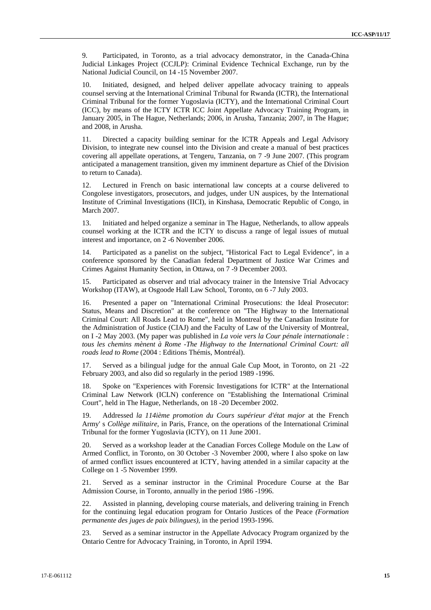9. Participated, in Toronto, as a trial advocacy demonstrator, in the Canada-China Judicial Linkages Project (CCJLP): Criminal Evidence Technical Exchange, run by the National Judicial Council, on 14 -15 November 2007.

10. Initiated, designed, and helped deliver appellate advocacy training to appeals counsel serving at the International Criminal Tribunal for Rwanda (ICTR), the International Criminal Tribunal for the former Yugoslavia (ICTY), and the International Criminal Court (ICC), by means of the ICTY ICTR ICC Joint Appellate Advocacy Training Program, in January 2005, in The Hague, Netherlands; 2006, in Arusha, Tanzania; 2007, in The Hague; and 2008, in Arusha.

11. Directed a capacity building seminar for the ICTR Appeals and Legal Advisory Division, to integrate new counsel into the Division and create a manual of best practices covering all appellate operations, at Tengeru, Tanzania, on 7 -9 June 2007. (This program anticipated a management transition, given my imminent departure as Chief of the Division to return to Canada).

12. Lectured in French on basic international law concepts at a course delivered to Congolese investigators, prosecutors, and judges, under UN auspices, by the International Institute of Criminal Investigations (IICI), in Kinshasa, Democratic Republic of Congo, in March 2007.

13. Initiated and helped organize a seminar in The Hague, Netherlands, to allow appeals counsel working at the ICTR and the ICTY to discuss a range of legal issues of mutual interest and importance, on 2 -6 November 2006.

14. Participated as a panelist on the subject, ''Historical Fact to Legal Evidence", in a conference sponsored by the Canadian federal Department of Justice War Crimes and Crimes Against Humanity Section, in Ottawa, on 7 -9 December 2003.

15. Participated as observer and trial advocacy trainer in the Intensive Trial Advocacy Workshop (ITAW), at Osgoode Hall Law School, Toronto, on 6 -7 July 2003.

16. Presented a paper on "International Criminal Prosecutions: the Ideal Prosecutor: Status, Means and Discretion" at the conference on "The Highway to the International Criminal Court: All Roads Lead to Rome", held in Montreal by the Canadian Institute for the Administration of Justice (CIAJ) and the Faculty of Law of the University of Montreal, on I -2 May 2003. (My paper was published in *La voie vers la Cour pénale internationale* : *tous les chemins mènent à Rome -The Highway to the International Criminal Court: all roads lead to Rome* (2004 : Editions Thémis, Montréal).

17. Served as a bilingual judge for the annual Gale Cup Moot, in Toronto, on 21 -22 February 2003, and also did so regularly in the period 1989 -1996.

18. Spoke on "Experiences with Forensic Investigations for ICTR" at the International Criminal Law Network (ICLN) conference on "Establishing the International Criminal Court", held in The Hague, Netherlands, on 18 -20 December 2002.

19. Addressed *la 114ième promotion du Cours supérieur d'état major* at the French Army' s *Collège militaire,* in Paris, France, on the operations of the International Criminal Tribunal for the former Yugoslavia (ICTY), on 11 June 2001.

20. Served as a workshop leader at the Canadian Forces College Module on the Law of Armed Conflict, in Toronto, on 30 October -3 November 2000, where I also spoke on law of armed conflict issues encountered at ICTY, having attended in a similar capacity at the College on 1 -5 November 1999.

21. Served as a seminar instructor in the Criminal Procedure Course at the Bar Admission Course, in Toronto, annually in the period 1986 -1996.

22. Assisted in planning, developing course materials, and delivering training in French for the continuing legal education program for Ontario Justices of the Peace *(Formation permanente des juges de paix bilingues),* in the period 1993-1996.

23. Served as a seminar instructor in the Appellate Advocacy Program organized by the Ontario Centre for Advocacy Training, in Toronto, in April 1994.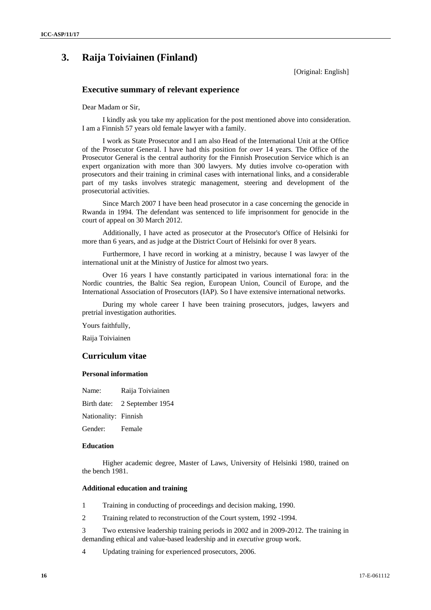# **3. Raija Toiviainen (Finland)**

[Original: English]

### **Executive summary of relevant experience**

Dear Madam or Sir,

I kindly ask you take my application for the post mentioned above into consideration. I am a Finnish 57 years old female lawyer with a family.

I work as State Prosecutor and I am also Head of the International Unit at the Office of the Prosecutor General. I have had this position for *over* 14 years. The Office of the Prosecutor General is the central authority for the Finnish Prosecution Service which is an expert organization with more than 300 lawyers. My duties involve co-operation with prosecutors and their training in criminal cases with international links, and a considerable part of my tasks involves strategic management, steering and development of the prosecutorial activities.

Since March 2007 I have been head prosecutor in a case concerning the genocide in Rwanda in 1994. The defendant was sentenced to life imprisonment for genocide in the court of appeal on 30 March 2012.

Additionally, I have acted as prosecutor at the Prosecutor's Office of Helsinki for more than 6 years, and as judge at the District Court of Helsinki for over 8 years.

Furthermore, I have record in working at a ministry, because I was lawyer of the international unit at the Ministry of Justice for almost two years.

Over 16 years I have constantly participated in various international fora: in the Nordic countries, the Baltic Sea region, European Union, Council of Europe, and the International Association of Prosecutors (IAP). So I have extensive international networks.

During my whole career I have been training prosecutors, judges, lawyers and pretrial investigation authorities.

Yours faithfully,

Raija Toiviainen

### **Curriculum vitae**

#### **Personal information**

Name: Raija Toiviainen

Birth date: 2 September 1954

Nationality: Finnish

Gender: Female

### **Education**

Higher academic degree, Master of Laws, University of Helsinki 1980, trained on the bench 1981.

### **Additional education and training**

1 Training in conducting of proceedings and decision making, 1990.

2 Training related to reconstruction of the Court system, 1992 -1994.

3 Two extensive leadership training periods in 2002 and in 2009-2012. The training in demanding ethical and value-based leadership and in *executive* group work.

4 Updating training for experienced prosecutors, 2006.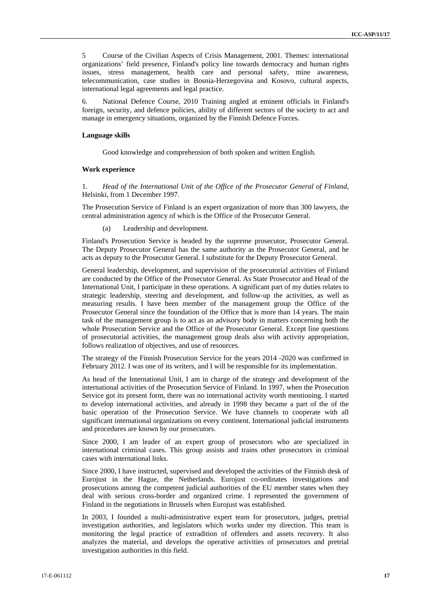5 Course of the Civilian Aspects of Crisis Management, 2001. Themes: international organizations' field presence, Finland's policy line towards democracy and human rights issues, stress management, health care and personal safety, mine awareness, telecommunication, case studies in Bosnia-Herzegovina and Kosovo, cultural aspects, international legal agreements and legal practice.

6. National Defence Course, 2010 Training angled at eminent officials in Finland's foreign, security, and defence policies, ability of different sectors of the society to act and manage in emergency situations, organized by the Finnish Defence Forces.

#### **Language skills**

Good knowledge and comprehension of both spoken and written English.

#### **Work experience**

1. *Head of the International Unit of the Office of the Prosecutor General of Finland,* Helsinki, from 1 December 1997.

The Prosecution Service of Finland is an expert organization of more than 300 lawyers, the central administration agency of which is the Office of the Prosecutor General.

(a) Leadership and development.

Finland's Prosecution Service is headed by the supreme prosecutor, Prosecutor General. The Deputy Prosecutor General has the same authority as the Prosecutor General, and he acts as deputy to the Prosecutor General. I substitute for the Deputy Prosecutor General.

General leadership, development, and supervision of the prosecutorial activities of Finland are conducted by the Office of the Prosecutor General. As State Prosecutor and Head of the International Unit, I participate in these operations. A significant part of my duties relates to strategic leadership, steering and development, and follow-up the activities, as well as measuring results. I have been member of the management group the Office of the Prosecutor General since the foundation of the Office that is more than 14 years. The main task of the management group is to act as an advisory body in matters concerning both the whole Prosecution Service and the Office of the Prosecutor General. Except line questions of prosecutorial activities, the management group deals also with activity appropriation, follows realization of objectives, and use of resources.

The strategy of the Finnish Prosecution Service for the years 2014 -2020 was confirmed in February 2012. I was one of its writers, and I will be responsible for its implementation.

As head of the International Unit, I am in charge of the strategy and development of the international activities of the Prosecution Service of Finland. In 1997, when the Prosecution Service got its present form, there was no international activity worth mentioning. I started to develop international activities, and already in 1998 they became a part of the of the basic operation of the Prosecution Service. We have channels to cooperate with all significant international organizations on every continent. International judicial instruments and procedures are known by our prosecutors.

Since 2000, I am leader of an expert group of prosecutors who are specialized in international criminal cases. This group assists and trains other prosecutors in criminal cases with international links.

Since 2000, I have instructed, supervised and developed the activities of the Finnish desk of Eurojust in the Hague, the Netherlands. Eurojust co-ordinates investigations and prosecutions among the competent judicial authorities of the EU member states when they deal with serious cross-border and organized crime. I represented the government of Finland in the negotiations in Brussels when Eurojust was established.

In 2003, I founded a multi-administrative expert team for prosecutors, judges, pretrial investigation authorities, and legislators which works under my direction. This team is monitoring the legal practice of extradition of offenders and assets recovery. It also analyzes the material, and develops the operative activities of prosecutors and pretrial investigation authorities in this field.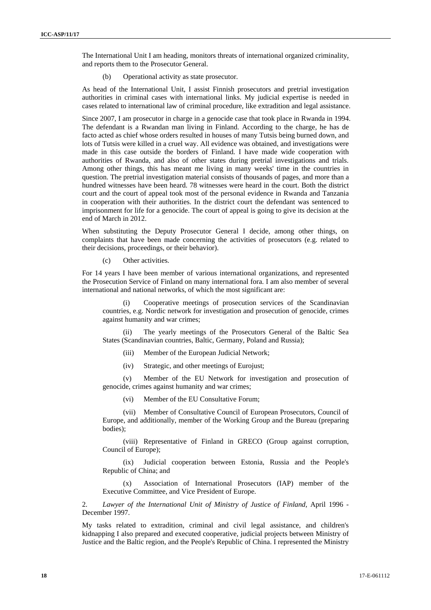The International Unit I am heading, monitors threats of international organized criminality, and reports them to the Prosecutor General.

(b) Operational activity as state prosecutor.

As head of the International Unit, I assist Finnish prosecutors and pretrial investigation authorities in criminal cases with international links. My judicial expertise is needed in cases related to international law of criminal procedure, like extradition and legal assistance.

Since 2007, I am prosecutor in charge in a genocide case that took place in Rwanda in 1994. The defendant is a Rwandan man living in Finland. According to the charge, he has de facto acted as chief whose orders resulted in houses of many Tutsis being burned down, and lots of Tutsis were killed in a cruel way. All evidence was obtained, and investigations were made in this case outside the borders of Finland. I have made wide cooperation with authorities of Rwanda, and also of other states during pretrial investigations and trials. Among other things, this has meant me living in many weeks' time in the countries in question. The pretrial investigation material consists of thousands of pages, and more than a hundred witnesses have been heard. 78 witnesses were heard in the court. Both the district court and the court of appeal took most of the personal evidence in Rwanda and Tanzania in cooperation with their authorities. In the district court the defendant was sentenced to imprisonment for life for a genocide. The court of appeal is going to give its decision at the end of March in 2012.

When substituting the Deputy Prosecutor General I decide, among other things, on complaints that have been made concerning the activities of prosecutors (e.g. related to their decisions, proceedings, or their behavior).

(c) Other activities.

For 14 years I have been member of various international organizations, and represented the Prosecution Service of Finland on many international fora. I am also member of several international and national networks, of which the most significant are:

(i) Cooperative meetings of prosecution services of the Scandinavian countries, e.g. Nordic network for investigation and prosecution of genocide, crimes against humanity and war crimes;

(ii) The yearly meetings of the Prosecutors General of the Baltic Sea States (Scandinavian countries, Baltic, Germany, Poland and Russia);

- (iii) Member of the European Judicial Network;
- (iv) Strategic, and other meetings of Eurojust;

(v) Member of the EU Network for investigation and prosecution of genocide, crimes against humanity and war crimes;

(vi) Member of the EU Consultative Forum;

(vii) Member of Consultative Council of European Prosecutors, Council of Europe, and additionally, member of the Working Group and the Bureau (preparing bodies);

(viii) Representative of Finland in GRECO (Group against corruption, Council of Europe);

(ix) Judicial cooperation between Estonia, Russia and the People's Republic of China; and

Association of International Prosecutors (IAP) member of the Executive Committee, and Vice President of Europe.

2. *Lawyer of the International Unit of Ministry of Justice of Finland,* April 1996 - December 1997.

My tasks related to extradition, criminal and civil legal assistance, and children's kidnapping I also prepared and executed cooperative, judicial projects between Ministry of Justice and the Baltic region, and the People's Republic of China. I represented the Ministry